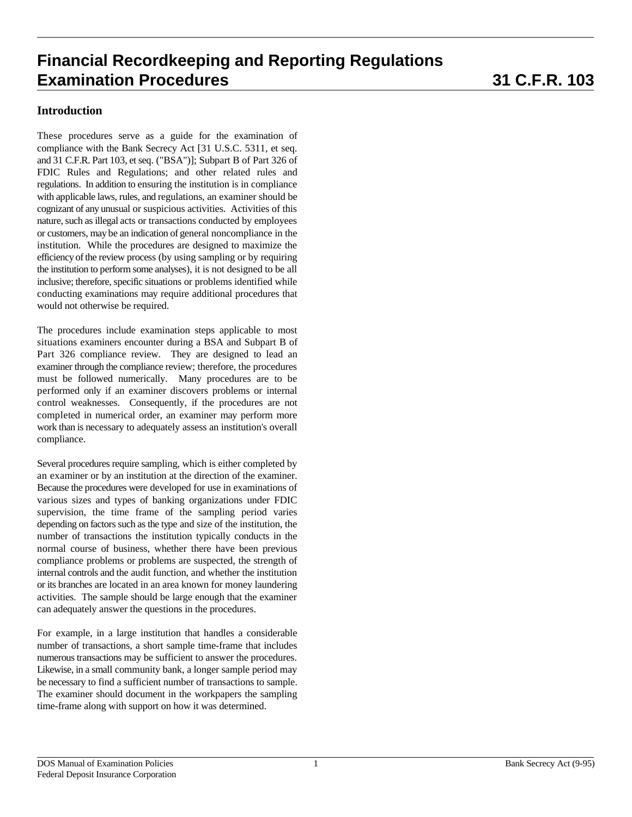### **Introduction**

These procedures serve as a guide for the examination of compliance with the Bank Secrecy Act [31 U.S.C. 5311, et seq. and 31 C.F.R. Part 103, et seq. ("BSA")]; Subpart B of Part 326 of FDIC Rules and Regulations; and other related rules and regulations. In addition to ensuring the institution is in compliance with applicable laws, rules, and regulations, an examiner should be cognizant of any unusual or suspicious activities. Activities of this nature, such as illegal acts or transactions conducted by employees or customers, may be an indication of general noncompliance in the institution. While the procedures are designed to maximize the efficiency of the review process (by using sampling or by requiring the institution to perform some analyses), it is not designed to be all inclusive; therefore, specific situations or problems identified while conducting examinations may require additional procedures that would not otherwise be required.

The procedures include examination steps applicable to most situations examiners encounter during a BSA and Subpart B of Part 326 compliance review. They are designed to lead an examiner through the compliance review; therefore, the procedures must be followed numerically. Many procedures are to be performed only if an examiner discovers problems or internal control weaknesses. Consequently, if the procedures are not completed in numerical order, an examiner may perform more work than is necessary to adequately assess an institution's overall compliance.

Several procedures require sampling, which is either completed by an examiner or by an institution at the direction of the examiner. Because the procedures were developed for use in examinations of various sizes and types of banking organizations under FDIC supervision, the time frame of the sampling period varies depending on factors such as the type and size of the institution, the number of transactions the institution typically conducts in the normal course of business, whether there have been previous compliance problems or problems are suspected, the strength of internal controls and the audit function, and whether the institution or its branches are located in an area known for money laundering activities. The sample should be large enough that the examiner can adequately answer the questions in the procedures.

For example, in a large institution that handles a considerable number of transactions, a short sample time-frame that includes numerous transactions may be sufficient to answer the procedures. Likewise, in a small community bank, a longer sample period may be necessary to find a sufficient number of transactions to sample. The examiner should document in the workpapers the sampling time-frame along with support on how it was determined.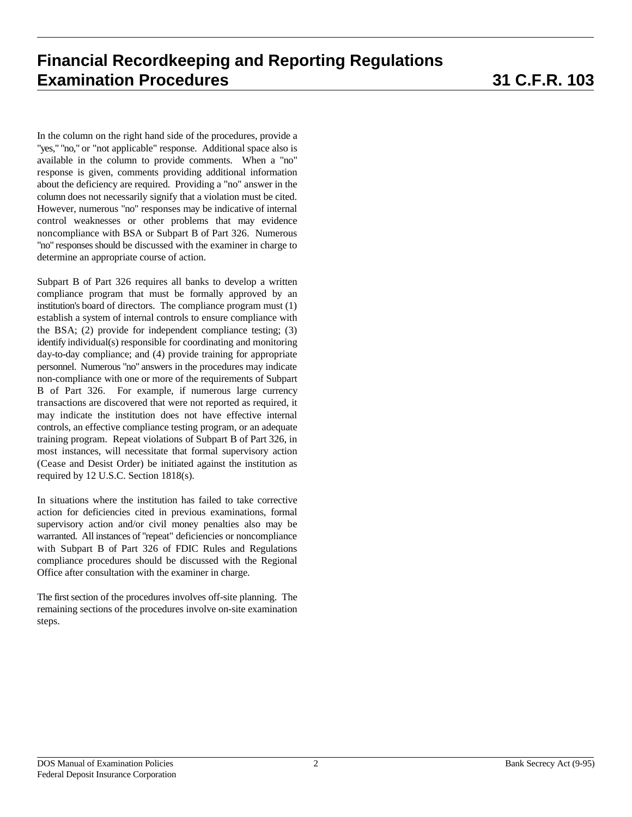In the column on the right hand side of the procedures, provide a "yes," "no," or "not applicable" response. Additional space also is available in the column to provide comments. When a "no" response is given, comments providing additional information about the deficiency are required. Providing a "no" answer in the column does not necessarily signify that a violation must be cited. However, numerous "no" responses may be indicative of internal control weaknesses or other problems that may evidence noncompliance with BSA or Subpart B of Part 326. Numerous "no" responses should be discussed with the examiner in charge to determine an appropriate course of action.

Subpart B of Part 326 requires all banks to develop a written compliance program that must be formally approved by an institution's board of directors. The compliance program must (1) establish a system of internal controls to ensure compliance with the BSA; (2) provide for independent compliance testing; (3) identify individual(s) responsible for coordinating and monitoring day-to-day compliance; and (4) provide training for appropriate personnel. Numerous "no" answers in the procedures may indicate non-compliance with one or more of the requirements of Subpart B of Part 326. For example, if numerous large currency transactions are discovered that were not reported as required, it may indicate the institution does not have effective internal controls, an effective compliance testing program, or an adequate training program. Repeat violations of Subpart B of Part 326, in most instances, will necessitate that formal supervisory action (Cease and Desist Order) be initiated against the institution as required by 12 U.S.C. Section 1818(s).

In situations where the institution has failed to take corrective action for deficiencies cited in previous examinations, formal supervisory action and/or civil money penalties also may be warranted. All instances of "repeat" deficiencies or noncompliance with Subpart B of Part 326 of FDIC Rules and Regulations compliance procedures should be discussed with the Regional Office after consultation with the examiner in charge.

The first section of the procedures involves off-site planning. The remaining sections of the procedures involve on-site examination steps.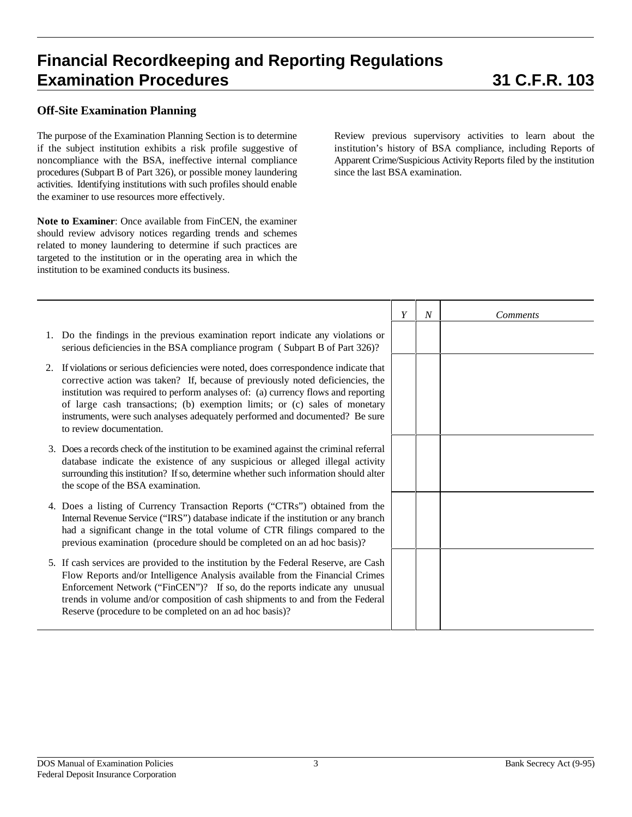### **Off-Site Examination Planning**

The purpose of the Examination Planning Section is to determine if the subject institution exhibits a risk profile suggestive of noncompliance with the BSA, ineffective internal compliance procedures (Subpart B of Part 326), or possible money laundering activities. Identifying institutions with such profiles should enable the examiner to use resources more effectively.

**Note to Examiner**: Once available from FinCEN, the examiner should review advisory notices regarding trends and schemes related to money laundering to determine if such practices are targeted to the institution or in the operating area in which the institution to be examined conducts its business.

Review previous supervisory activities to learn about the institution's history of BSA compliance, including Reports of Apparent Crime/Suspicious Activity Reports filed by the institution since the last BSA examination.

|    |                                                                                                                                                                                                                                                                                                                                                                                                                                                      | Y | $\overline{N}$ | <b>Comments</b> |
|----|------------------------------------------------------------------------------------------------------------------------------------------------------------------------------------------------------------------------------------------------------------------------------------------------------------------------------------------------------------------------------------------------------------------------------------------------------|---|----------------|-----------------|
|    | 1. Do the findings in the previous examination report indicate any violations or<br>serious deficiencies in the BSA compliance program (Subpart B of Part 326)?                                                                                                                                                                                                                                                                                      |   |                |                 |
| 2. | If violations or serious deficiencies were noted, does correspondence indicate that<br>corrective action was taken? If, because of previously noted deficiencies, the<br>institution was required to perform analyses of: (a) currency flows and reporting<br>of large cash transactions; (b) exemption limits; or (c) sales of monetary<br>instruments, were such analyses adequately performed and documented? Be sure<br>to review documentation. |   |                |                 |
|    | 3. Does a records check of the institution to be examined against the criminal referral<br>database indicate the existence of any suspicious or alleged illegal activity<br>surrounding this institution? If so, determine whether such information should alter<br>the scope of the BSA examination.                                                                                                                                                |   |                |                 |
|    | 4. Does a listing of Currency Transaction Reports ("CTRs") obtained from the<br>Internal Revenue Service ("IRS") database indicate if the institution or any branch<br>had a significant change in the total volume of CTR filings compared to the<br>previous examination (procedure should be completed on an ad hoc basis)?                                                                                                                       |   |                |                 |
|    | 5. If cash services are provided to the institution by the Federal Reserve, are Cash<br>Flow Reports and/or Intelligence Analysis available from the Financial Crimes<br>Enforcement Network ("FinCEN")? If so, do the reports indicate any unusual<br>trends in volume and/or composition of cash shipments to and from the Federal<br>Reserve (procedure to be completed on an ad hoc basis)?                                                      |   |                |                 |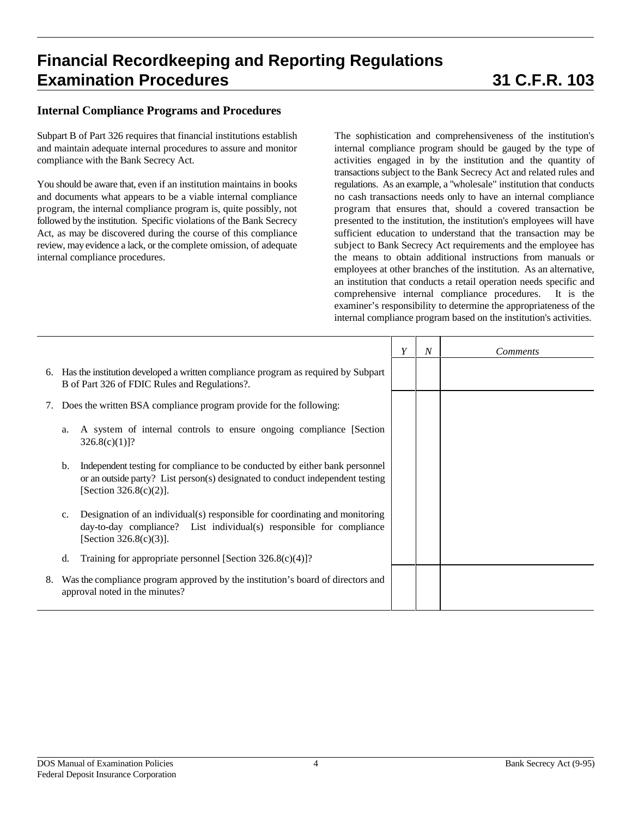### **Internal Compliance Programs and Procedures**

Subpart B of Part 326 requires that financial institutions establish and maintain adequate internal procedures to assure and monitor compliance with the Bank Secrecy Act.

You should be aware that, even if an institution maintains in books and documents what appears to be a viable internal compliance program, the internal compliance program is, quite possibly, not followed by the institution. Specific violations of the Bank Secrecy Act, as may be discovered during the course of this compliance review, may evidence a lack, or the complete omission, of adequate internal compliance procedures.

The sophistication and comprehensiveness of the institution's internal compliance program should be gauged by the type of activities engaged in by the institution and the quantity of transactions subject to the Bank Secrecy Act and related rules and regulations. As an example, a "wholesale" institution that conducts no cash transactions needs only to have an internal compliance program that ensures that, should a covered transaction be presented to the institution, the institution's employees will have sufficient education to understand that the transaction may be subject to Bank Secrecy Act requirements and the employee has the means to obtain additional instructions from manuals or employees at other branches of the institution. As an alternative, an institution that conducts a retail operation needs specific and comprehensive internal compliance procedures. It is the examiner's responsibility to determine the appropriateness of the internal compliance program based on the institution's activities.

|    |                                                                                                                                                                                                 | Y | $\overline{N}$ | <b>Comments</b> |
|----|-------------------------------------------------------------------------------------------------------------------------------------------------------------------------------------------------|---|----------------|-----------------|
| 6. | Has the institution developed a written compliance program as required by Subpart<br>B of Part 326 of FDIC Rules and Regulations?.                                                              |   |                |                 |
|    | Does the written BSA compliance program provide for the following:                                                                                                                              |   |                |                 |
|    | A system of internal controls to ensure ongoing compliance [Section]<br>a.<br>$326.8(c)(1)]$ ?                                                                                                  |   |                |                 |
|    | Independent testing for compliance to be conducted by either bank personnel<br>b.<br>or an outside party? List person(s) designated to conduct independent testing<br>[Section $326.8(c)(2)$ ]. |   |                |                 |
|    | Designation of an individual(s) responsible for coordinating and monitoring<br>c.<br>day-to-day compliance? List individual(s) responsible for compliance<br>[Section $326.8(c)(3)$ ].          |   |                |                 |
|    | Training for appropriate personnel [Section $326.8(c)(4)$ ]?<br>d.                                                                                                                              |   |                |                 |
| 8. | Was the compliance program approved by the institution's board of directors and<br>approval noted in the minutes?                                                                               |   |                |                 |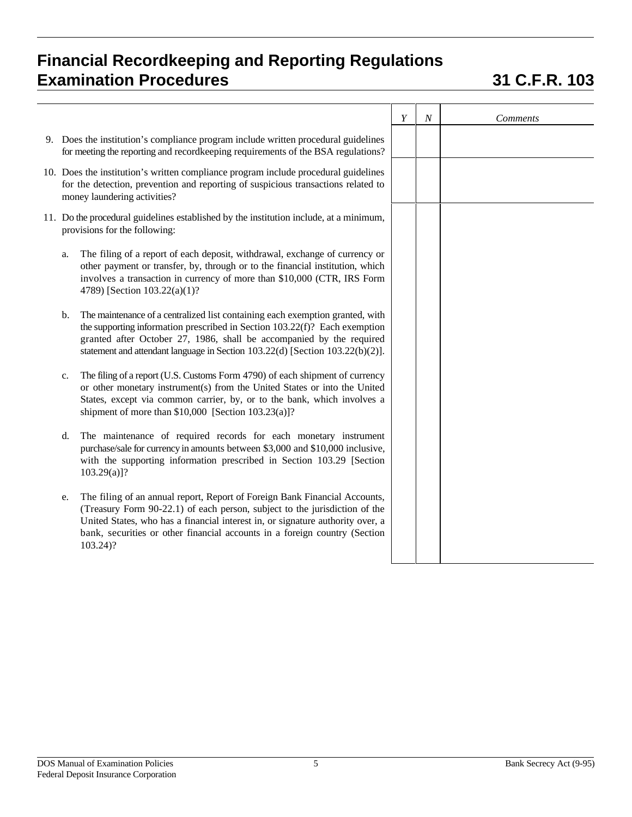|    |                                                                                                                                                                                                                                                                                                                                        | Y | $\boldsymbol{N}$ | Comments |
|----|----------------------------------------------------------------------------------------------------------------------------------------------------------------------------------------------------------------------------------------------------------------------------------------------------------------------------------------|---|------------------|----------|
|    | 9. Does the institution's compliance program include written procedural guidelines<br>for meeting the reporting and recordkeeping requirements of the BSA regulations?                                                                                                                                                                 |   |                  |          |
|    | 10. Does the institution's written compliance program include procedural guidelines<br>for the detection, prevention and reporting of suspicious transactions related to<br>money laundering activities?                                                                                                                               |   |                  |          |
|    | 11. Do the procedural guidelines established by the institution include, at a minimum,<br>provisions for the following:                                                                                                                                                                                                                |   |                  |          |
| a. | The filing of a report of each deposit, withdrawal, exchange of currency or<br>other payment or transfer, by, through or to the financial institution, which<br>involves a transaction in currency of more than \$10,000 (CTR, IRS Form<br>4789) [Section 103.22(a)(1)?                                                                |   |                  |          |
| b. | The maintenance of a centralized list containing each exemption granted, with<br>the supporting information prescribed in Section 103.22(f)? Each exemption<br>granted after October 27, 1986, shall be accompanied by the required<br>statement and attendant language in Section 103.22(d) [Section 103.22(b)(2)].                   |   |                  |          |
| c. | The filing of a report (U.S. Customs Form 4790) of each shipment of currency<br>or other monetary instrument(s) from the United States or into the United<br>States, except via common carrier, by, or to the bank, which involves a<br>shipment of more than $$10,000$ [Section $103.23(a)$ ]?                                        |   |                  |          |
| d. | The maintenance of required records for each monetary instrument<br>purchase/sale for currency in amounts between \$3,000 and \$10,000 inclusive,<br>with the supporting information prescribed in Section 103.29 [Section<br>$103.29(a)$ ?                                                                                            |   |                  |          |
| e. | The filing of an annual report, Report of Foreign Bank Financial Accounts,<br>(Treasury Form 90-22.1) of each person, subject to the jurisdiction of the<br>United States, who has a financial interest in, or signature authority over, a<br>bank, securities or other financial accounts in a foreign country (Section<br>$103.24$ ? |   |                  |          |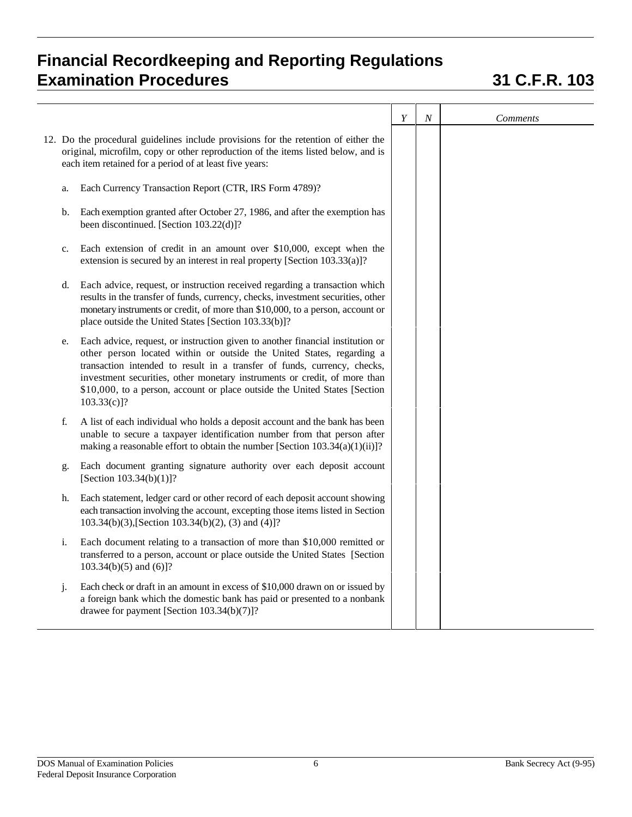|    |                                                                                                                                                                                                                                                                                                                                                                                                               | Y | $\cal N$ | <b>Comments</b> |
|----|---------------------------------------------------------------------------------------------------------------------------------------------------------------------------------------------------------------------------------------------------------------------------------------------------------------------------------------------------------------------------------------------------------------|---|----------|-----------------|
|    | 12. Do the procedural guidelines include provisions for the retention of either the<br>original, microfilm, copy or other reproduction of the items listed below, and is<br>each item retained for a period of at least five years:                                                                                                                                                                           |   |          |                 |
| a. | Each Currency Transaction Report (CTR, IRS Form 4789)?                                                                                                                                                                                                                                                                                                                                                        |   |          |                 |
| b. | Each exemption granted after October 27, 1986, and after the exemption has<br>been discontinued. [Section 103.22(d)]?                                                                                                                                                                                                                                                                                         |   |          |                 |
| c. | Each extension of credit in an amount over $$10,000$ , except when the<br>extension is secured by an interest in real property [Section 103.33(a)]?                                                                                                                                                                                                                                                           |   |          |                 |
| d. | Each advice, request, or instruction received regarding a transaction which<br>results in the transfer of funds, currency, checks, investment securities, other<br>monetary instruments or credit, of more than \$10,000, to a person, account or<br>place outside the United States [Section 103.33(b)]?                                                                                                     |   |          |                 |
| e. | Each advice, request, or instruction given to another financial institution or<br>other person located within or outside the United States, regarding a<br>transaction intended to result in a transfer of funds, currency, checks,<br>investment securities, other monetary instruments or credit, of more than<br>\$10,000, to a person, account or place outside the United States [Section<br>103.33(c)]? |   |          |                 |
| f. | A list of each individual who holds a deposit account and the bank has been<br>unable to secure a taxpayer identification number from that person after<br>making a reasonable effort to obtain the number [Section $103.34(a)(1)(ii)$ ]?                                                                                                                                                                     |   |          |                 |
| g. | Each document granting signature authority over each deposit account<br>[Section $103.34(b)(1)$ ]?                                                                                                                                                                                                                                                                                                            |   |          |                 |
| h. | Each statement, ledger card or other record of each deposit account showing<br>each transaction involving the account, excepting those items listed in Section<br>103.34(b)(3), [Section 103.34(b)(2), (3) and (4)]?                                                                                                                                                                                          |   |          |                 |
| i. | Each document relating to a transaction of more than \$10,000 remitted or<br>transferred to a person, account or place outside the United States [Section<br>$103.34(b)(5)$ and $(6)$ ?                                                                                                                                                                                                                       |   |          |                 |
| j. | Each check or draft in an amount in excess of \$10,000 drawn on or issued by<br>a foreign bank which the domestic bank has paid or presented to a nonbank<br>drawee for payment [Section 103.34(b)(7)]?                                                                                                                                                                                                       |   |          |                 |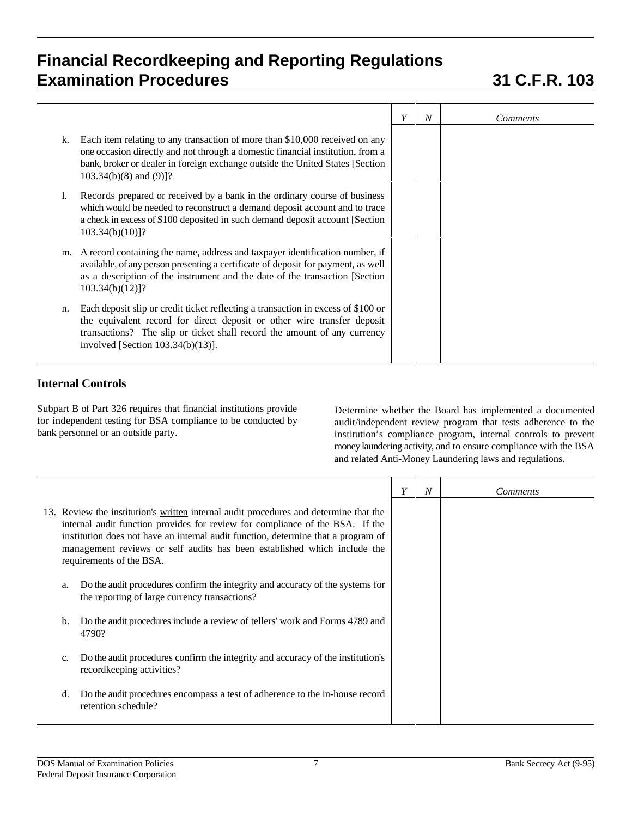|    |                                                                                                                                                                                                                                                                                  | Y | N | <i>Comments</i> |
|----|----------------------------------------------------------------------------------------------------------------------------------------------------------------------------------------------------------------------------------------------------------------------------------|---|---|-----------------|
| k. | Each item relating to any transaction of more than \$10,000 received on any<br>one occasion directly and not through a domestic financial institution, from a<br>bank, broker or dealer in foreign exchange outside the United States [Section<br>$103.34(b)(8)$ and $(9)$ ]?    |   |   |                 |
| Ι. | Records prepared or received by a bank in the ordinary course of business<br>which would be needed to reconstruct a demand deposit account and to trace<br>a check in excess of \$100 deposited in such demand deposit account [Section]<br>$103.34(b)(10)$ ?                    |   |   |                 |
| m. | A record containing the name, address and taxpayer identification number, if<br>available, of any person presenting a certificate of deposit for payment, as well<br>as a description of the instrument and the date of the transaction [Section]<br>$103.34(b)(12)]$ ?          |   |   |                 |
| n. | Each deposit slip or credit ticket reflecting a transaction in excess of \$100 or<br>the equivalent record for direct deposit or other wire transfer deposit<br>transactions? The slip or ticket shall record the amount of any currency<br>involved [Section $103.34(b)(13)$ ]. |   |   |                 |

## **Internal Controls**

Subpart B of Part 326 requires that financial institutions provide for independent testing for BSA compliance to be conducted by bank personnel or an outside party.

Determine whether the Board has implemented a documented audit/independent review program that tests adherence to the institution's compliance program, internal controls to prevent money laundering activity, and to ensure compliance with the BSA and related Anti-Money Laundering laws and regulations.

|    |                                                                                                                                                                                                                                                                                                                                                                     | Y | N | <i>Comments</i> |
|----|---------------------------------------------------------------------------------------------------------------------------------------------------------------------------------------------------------------------------------------------------------------------------------------------------------------------------------------------------------------------|---|---|-----------------|
|    | 13. Review the institution's written internal audit procedures and determine that the<br>internal audit function provides for review for compliance of the BSA. If the<br>institution does not have an internal audit function, determine that a program of<br>management reviews or self audits has been established which include the<br>requirements of the BSA. |   |   |                 |
| a. | Do the audit procedures confirm the integrity and accuracy of the systems for<br>the reporting of large currency transactions?                                                                                                                                                                                                                                      |   |   |                 |
| b. | Do the audit procedures include a review of tellers' work and Forms 4789 and<br>4790?                                                                                                                                                                                                                                                                               |   |   |                 |
| c. | Do the audit procedures confirm the integrity and accuracy of the institution's<br>record keeping activities?                                                                                                                                                                                                                                                       |   |   |                 |
| d. | Do the audit procedures encompass a test of adherence to the in-house record<br>retention schedule?                                                                                                                                                                                                                                                                 |   |   |                 |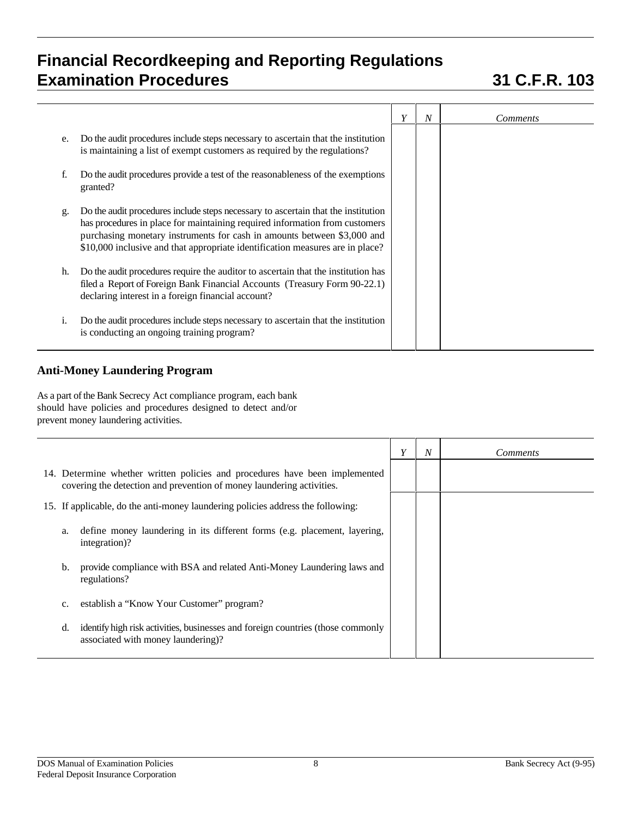|    |                                                                                                                                                                                                                                                                                                                              | Y | N | <i>Comments</i> |
|----|------------------------------------------------------------------------------------------------------------------------------------------------------------------------------------------------------------------------------------------------------------------------------------------------------------------------------|---|---|-----------------|
| e. | Do the audit procedures include steps necessary to ascertain that the institution<br>is maintaining a list of exempt customers as required by the regulations?                                                                                                                                                               |   |   |                 |
|    | Do the audit procedures provide a test of the reasonableness of the exemptions<br>granted?                                                                                                                                                                                                                                   |   |   |                 |
| g. | Do the audit procedures include steps necessary to ascertain that the institution<br>has procedures in place for maintaining required information from customers<br>purchasing monetary instruments for cash in amounts between \$3,000 and<br>\$10,000 inclusive and that appropriate identification measures are in place? |   |   |                 |
| h. | Do the audit procedures require the auditor to ascertain that the institution has<br>filed a Report of Foreign Bank Financial Accounts (Treasury Form 90-22.1)<br>declaring interest in a foreign financial account?                                                                                                         |   |   |                 |
| 1. | Do the audit procedures include steps necessary to ascertain that the institution<br>is conducting an ongoing training program?                                                                                                                                                                                              |   |   |                 |

## **Anti-Money Laundering Program**

As a part of the Bank Secrecy Act compliance program, each bank should have policies and procedures designed to detect and/or prevent money laundering activities.

|                                                                                                                                                      | Y | N | <i>Comments</i> |
|------------------------------------------------------------------------------------------------------------------------------------------------------|---|---|-----------------|
| 14. Determine whether written policies and procedures have been implemented<br>covering the detection and prevention of money laundering activities. |   |   |                 |
| 15. If applicable, do the anti-money laundering policies address the following:                                                                      |   |   |                 |
| define money laundering in its different forms (e.g. placement, layering,<br>a.<br>integration)?                                                     |   |   |                 |
| provide compliance with BSA and related Anti-Money Laundering laws and<br>b.<br>regulations?                                                         |   |   |                 |
| establish a "Know Your Customer" program?<br>c.                                                                                                      |   |   |                 |
| identify high risk activities, businesses and foreign countries (those commonly<br>d.<br>associated with money laundering)?                          |   |   |                 |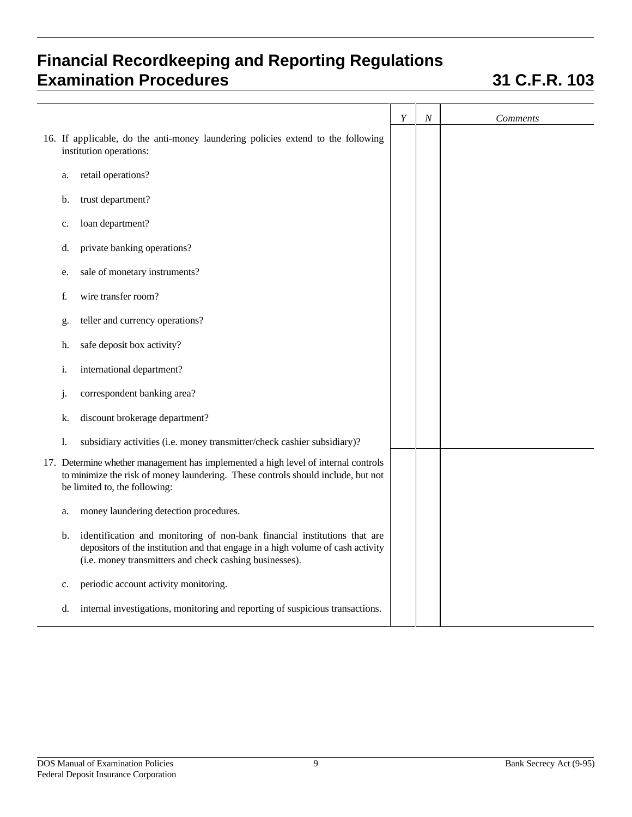|                                                                                                                                                                                                                               | Y | $\cal N$ | <b>Comments</b> |
|-------------------------------------------------------------------------------------------------------------------------------------------------------------------------------------------------------------------------------|---|----------|-----------------|
| 16. If applicable, do the anti-money laundering policies extend to the following<br>institution operations:                                                                                                                   |   |          |                 |
| retail operations?<br>a.                                                                                                                                                                                                      |   |          |                 |
| trust department?<br>b.                                                                                                                                                                                                       |   |          |                 |
| loan department?<br>c.                                                                                                                                                                                                        |   |          |                 |
| private banking operations?<br>d.                                                                                                                                                                                             |   |          |                 |
| sale of monetary instruments?<br>e.                                                                                                                                                                                           |   |          |                 |
| wire transfer room?<br>f.                                                                                                                                                                                                     |   |          |                 |
| teller and currency operations?<br>g.                                                                                                                                                                                         |   |          |                 |
| safe deposit box activity?<br>h.                                                                                                                                                                                              |   |          |                 |
| international department?<br>i.                                                                                                                                                                                               |   |          |                 |
| correspondent banking area?<br>j.                                                                                                                                                                                             |   |          |                 |
| discount brokerage department?<br>k.                                                                                                                                                                                          |   |          |                 |
| subsidiary activities (i.e. money transmitter/check cashier subsidiary)?<br>1.                                                                                                                                                |   |          |                 |
| 17. Determine whether management has implemented a high level of internal controls<br>to minimize the risk of money laundering. These controls should include, but not<br>be limited to, the following:                       |   |          |                 |
| money laundering detection procedures.<br>a.                                                                                                                                                                                  |   |          |                 |
| identification and monitoring of non-bank financial institutions that are<br>b.<br>depositors of the institution and that engage in a high volume of cash activity<br>(i.e. money transmitters and check cashing businesses). |   |          |                 |
| periodic account activity monitoring.<br>c.                                                                                                                                                                                   |   |          |                 |
| internal investigations, monitoring and reporting of suspicious transactions.<br>d.                                                                                                                                           |   |          |                 |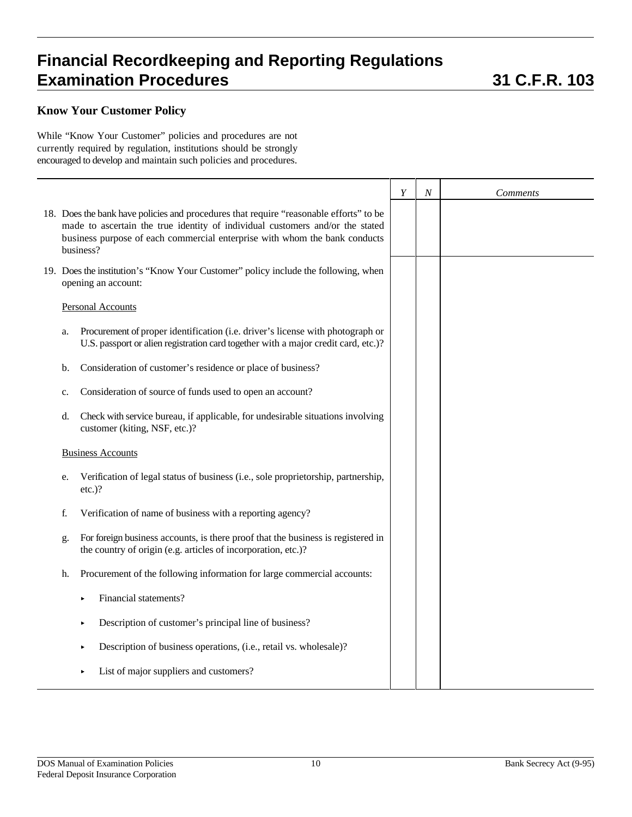## **Know Your Customer Policy**

While "Know Your Customer" policies and procedures are not currently required by regulation, institutions should be strongly encouraged to develop and maintain such policies and procedures.

|                                                                                                                                                                                                                                                                    | Y | N | <i>Comments</i> |
|--------------------------------------------------------------------------------------------------------------------------------------------------------------------------------------------------------------------------------------------------------------------|---|---|-----------------|
| 18. Does the bank have policies and procedures that require "reasonable efforts" to be<br>made to ascertain the true identity of individual customers and/or the stated<br>business purpose of each commercial enterprise with whom the bank conducts<br>business? |   |   |                 |
| 19. Does the institution's "Know Your Customer" policy include the following, when<br>opening an account:                                                                                                                                                          |   |   |                 |
| <b>Personal Accounts</b>                                                                                                                                                                                                                                           |   |   |                 |
| Procurement of proper identification (i.e. driver's license with photograph or<br>a.<br>U.S. passport or alien registration card together with a major credit card, etc.)?                                                                                         |   |   |                 |
| Consideration of customer's residence or place of business?<br>b.                                                                                                                                                                                                  |   |   |                 |
| Consideration of source of funds used to open an account?<br>c.                                                                                                                                                                                                    |   |   |                 |
| Check with service bureau, if applicable, for undesirable situations involving<br>d.<br>customer (kiting, NSF, etc.)?                                                                                                                                              |   |   |                 |
| <b>Business Accounts</b>                                                                                                                                                                                                                                           |   |   |                 |
| Verification of legal status of business (i.e., sole proprietorship, partnership,<br>e.<br>$etc.$ )?                                                                                                                                                               |   |   |                 |
| Verification of name of business with a reporting agency?<br>f.                                                                                                                                                                                                    |   |   |                 |
| For foreign business accounts, is there proof that the business is registered in<br>g.<br>the country of origin (e.g. articles of incorporation, etc.)?                                                                                                            |   |   |                 |
| Procurement of the following information for large commercial accounts:<br>h.                                                                                                                                                                                      |   |   |                 |
| Financial statements?                                                                                                                                                                                                                                              |   |   |                 |
| Description of customer's principal line of business?<br>٠                                                                                                                                                                                                         |   |   |                 |
| Description of business operations, (i.e., retail vs. wholesale)?<br>٠                                                                                                                                                                                             |   |   |                 |
| List of major suppliers and customers?<br>×                                                                                                                                                                                                                        |   |   |                 |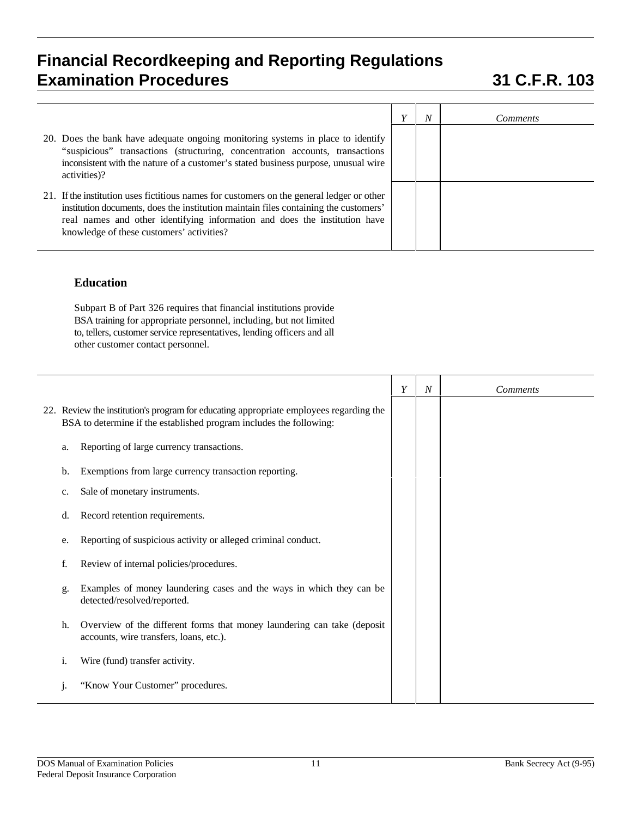|                                                                                                                                                                                                                                                                                                              | N | <i>Comments</i> |
|--------------------------------------------------------------------------------------------------------------------------------------------------------------------------------------------------------------------------------------------------------------------------------------------------------------|---|-----------------|
| 20. Does the bank have adequate ongoing monitoring systems in place to identify<br>"suspicious" transactions (structuring, concentration accounts, transactions<br>inconsistent with the nature of a customer's stated business purpose, unusual wire<br>activities)?                                        |   |                 |
| 21. If the institution uses fictitious names for customers on the general ledger or other<br>institution documents, does the institution maintain files containing the customers'<br>real names and other identifying information and does the institution have<br>knowledge of these customers' activities? |   |                 |

### **Education**

Subpart B of Part 326 requires that financial institutions provide BSA training for appropriate personnel, including, but not limited to, tellers, customer service representatives, lending officers and all other customer contact personnel.

|    |                                                                                                                                                               | Y | N | <b>Comments</b> |
|----|---------------------------------------------------------------------------------------------------------------------------------------------------------------|---|---|-----------------|
|    | 22. Review the institution's program for educating appropriate employees regarding the<br>BSA to determine if the established program includes the following: |   |   |                 |
| a. | Reporting of large currency transactions.                                                                                                                     |   |   |                 |
| b. | Exemptions from large currency transaction reporting.                                                                                                         |   |   |                 |
| c. | Sale of monetary instruments.                                                                                                                                 |   |   |                 |
| d. | Record retention requirements.                                                                                                                                |   |   |                 |
| e. | Reporting of suspicious activity or alleged criminal conduct.                                                                                                 |   |   |                 |
| f. | Review of internal policies/procedures.                                                                                                                       |   |   |                 |
| g. | Examples of money laundering cases and the ways in which they can be<br>detected/resolved/reported.                                                           |   |   |                 |
| h. | Overview of the different forms that money laundering can take (deposit<br>accounts, wire transfers, loans, etc.).                                            |   |   |                 |
| 1. | Wire (fund) transfer activity.                                                                                                                                |   |   |                 |
|    | "Know Your Customer" procedures.                                                                                                                              |   |   |                 |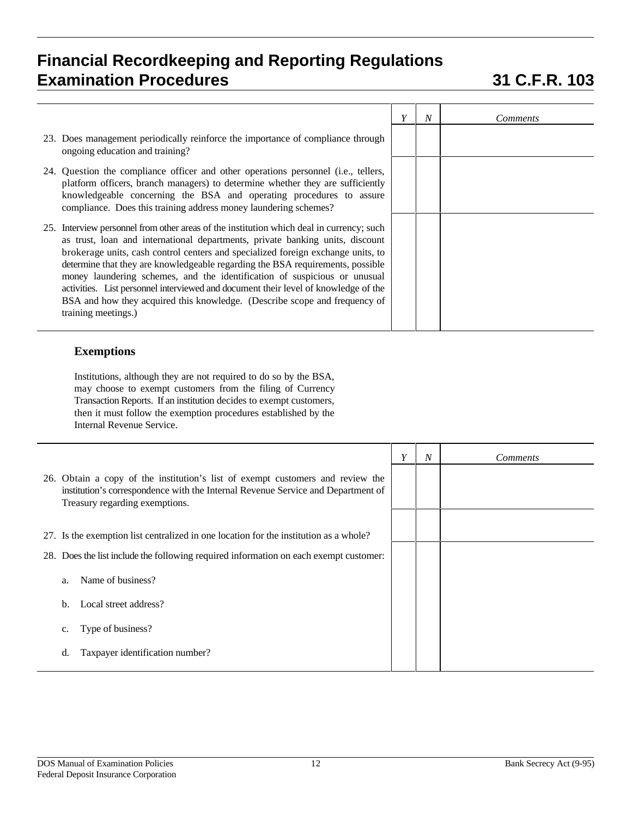|                                                                                                                                                                                                                                                                                                                                                                                                                                                                                                                                                                                                                          | Y | $\boldsymbol{N}$ | <i>Comments</i> |
|--------------------------------------------------------------------------------------------------------------------------------------------------------------------------------------------------------------------------------------------------------------------------------------------------------------------------------------------------------------------------------------------------------------------------------------------------------------------------------------------------------------------------------------------------------------------------------------------------------------------------|---|------------------|-----------------|
| 23. Does management periodically reinforce the importance of compliance through<br>ongoing education and training?                                                                                                                                                                                                                                                                                                                                                                                                                                                                                                       |   |                  |                 |
| 24. Question the compliance officer and other operations personnel (i.e., tellers,<br>platform officers, branch managers) to determine whether they are sufficiently<br>knowledgeable concerning the BSA and operating procedures to assure<br>compliance. Does this training address money laundering schemes?                                                                                                                                                                                                                                                                                                          |   |                  |                 |
| 25. Interview personnel from other areas of the institution which deal in currency; such<br>as trust, loan and international departments, private banking units, discount<br>brokerage units, cash control centers and specialized foreign exchange units, to<br>determine that they are knowledgeable regarding the BSA requirements, possible<br>money laundering schemes, and the identification of suspicious or unusual<br>activities. List personnel interviewed and document their level of knowledge of the<br>BSA and how they acquired this knowledge. (Describe scope and frequency of<br>training meetings.) |   |                  |                 |

## **Exemptions**

Institutions, although they are not required to do so by the BSA, may choose to exempt customers from the filing of Currency Transaction Reports. If an institution decides to exempt customers, then it must follow the exemption procedures established by the Internal Revenue Service.

|                                                                                                                                                                                                      | Y | $\overline{N}$ | <i>Comments</i> |
|------------------------------------------------------------------------------------------------------------------------------------------------------------------------------------------------------|---|----------------|-----------------|
| 26. Obtain a copy of the institution's list of exempt customers and review the<br>institution's correspondence with the Internal Revenue Service and Department of<br>Treasury regarding exemptions. |   |                |                 |
|                                                                                                                                                                                                      |   |                |                 |
| 27. Is the exemption list centralized in one location for the institution as a whole?                                                                                                                |   |                |                 |
| Does the list include the following required information on each exempt customer:<br>28.                                                                                                             |   |                |                 |
| Name of business?<br>a.                                                                                                                                                                              |   |                |                 |
| Local street address?<br>b.                                                                                                                                                                          |   |                |                 |
| Type of business?<br>c.                                                                                                                                                                              |   |                |                 |
| Taxpayer identification number?<br>d.                                                                                                                                                                |   |                |                 |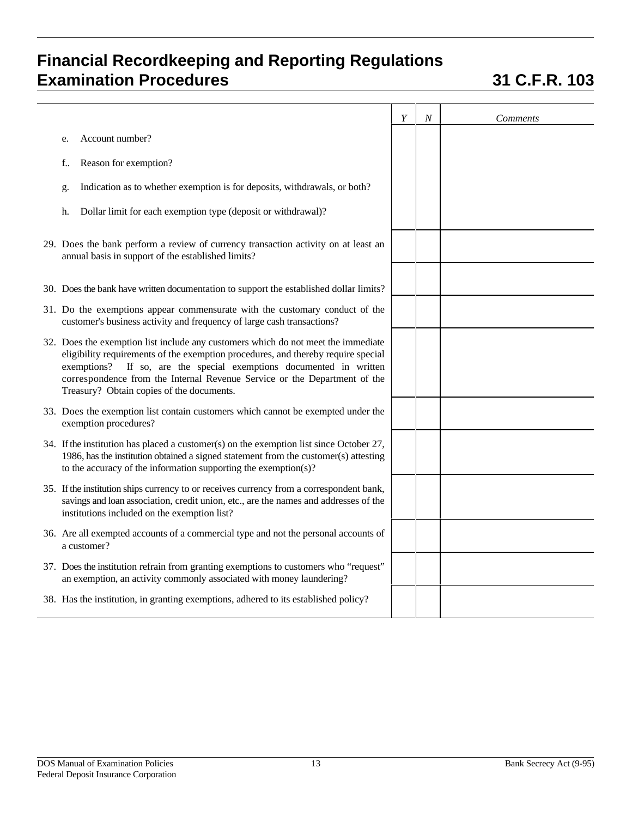|                                                                                                                                                                                                                                                                                                                                                                         | Y | $\boldsymbol{N}$ | Comments |
|-------------------------------------------------------------------------------------------------------------------------------------------------------------------------------------------------------------------------------------------------------------------------------------------------------------------------------------------------------------------------|---|------------------|----------|
| Account number?<br>e.                                                                                                                                                                                                                                                                                                                                                   |   |                  |          |
| Reason for exemption?<br>f.,                                                                                                                                                                                                                                                                                                                                            |   |                  |          |
| Indication as to whether exemption is for deposits, withdrawals, or both?<br>g.                                                                                                                                                                                                                                                                                         |   |                  |          |
| Dollar limit for each exemption type (deposit or withdrawal)?<br>h.                                                                                                                                                                                                                                                                                                     |   |                  |          |
| 29. Does the bank perform a review of currency transaction activity on at least an<br>annual basis in support of the established limits?                                                                                                                                                                                                                                |   |                  |          |
| 30. Does the bank have written documentation to support the established dollar limits?                                                                                                                                                                                                                                                                                  |   |                  |          |
| 31. Do the exemptions appear commensurate with the customary conduct of the<br>customer's business activity and frequency of large cash transactions?                                                                                                                                                                                                                   |   |                  |          |
| 32. Does the exemption list include any customers which do not meet the immediate<br>eligibility requirements of the exemption procedures, and thereby require special<br>exemptions? If so, are the special exemptions documented in written<br>correspondence from the Internal Revenue Service or the Department of the<br>Treasury? Obtain copies of the documents. |   |                  |          |
| 33. Does the exemption list contain customers which cannot be exempted under the<br>exemption procedures?                                                                                                                                                                                                                                                               |   |                  |          |
| 34. If the institution has placed a customer(s) on the exemption list since October 27,<br>1986, has the institution obtained a signed statement from the customer(s) attesting<br>to the accuracy of the information supporting the exemption(s)?                                                                                                                      |   |                  |          |
| 35. If the institution ships currency to or receives currency from a correspondent bank,<br>savings and loan association, credit union, etc., are the names and addresses of the<br>institutions included on the exemption list?                                                                                                                                        |   |                  |          |
| 36. Are all exempted accounts of a commercial type and not the personal accounts of<br>a customer?                                                                                                                                                                                                                                                                      |   |                  |          |
| 37. Does the institution refrain from granting exemptions to customers who "request"<br>an exemption, an activity commonly associated with money laundering?                                                                                                                                                                                                            |   |                  |          |
| 38. Has the institution, in granting exemptions, adhered to its established policy?                                                                                                                                                                                                                                                                                     |   |                  |          |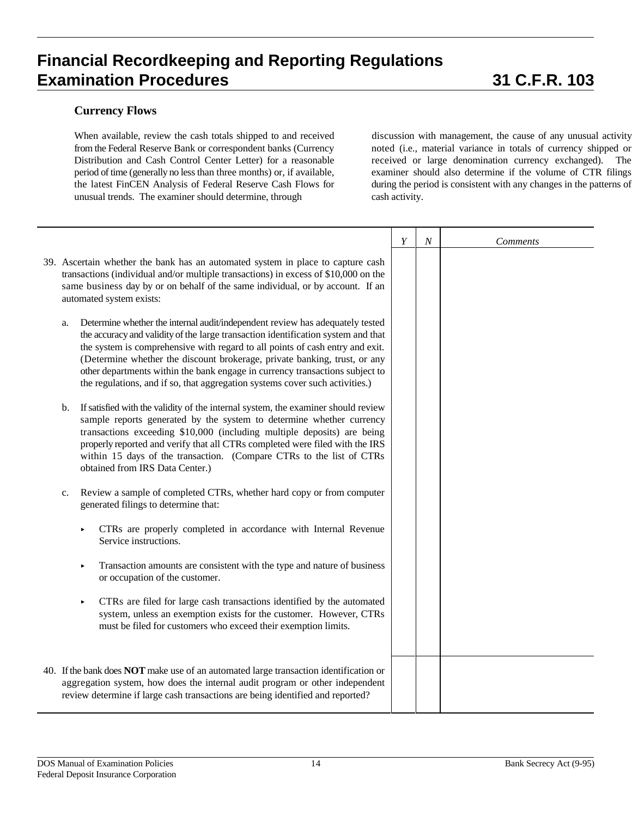### **Currency Flows**

When available, review the cash totals shipped to and received from the Federal Reserve Bank or correspondent banks (Currency Distribution and Cash Control Center Letter) for a reasonable period of time (generally no less than three months) or, if available, the latest FinCEN Analysis of Federal Reserve Cash Flows for unusual trends. The examiner should determine, through

discussion with management, the cause of any unusual activity noted (i.e., material variance in totals of currency shipped or received or large denomination currency exchanged). The examiner should also determine if the volume of CTR filings during the period is consistent with any changes in the patterns of cash activity.

|                                                                                                                                                                                                                                                                                                                                                                                                                                                                                                        | Y | $\boldsymbol{N}$ | <b>Comments</b> |
|--------------------------------------------------------------------------------------------------------------------------------------------------------------------------------------------------------------------------------------------------------------------------------------------------------------------------------------------------------------------------------------------------------------------------------------------------------------------------------------------------------|---|------------------|-----------------|
| 39. Ascertain whether the bank has an automated system in place to capture cash<br>transactions (individual and/or multiple transactions) in excess of \$10,000 on the<br>same business day by or on behalf of the same individual, or by account. If an<br>automated system exists:                                                                                                                                                                                                                   |   |                  |                 |
| Determine whether the internal audit/independent review has adequately tested<br>a.<br>the accuracy and validity of the large transaction identification system and that<br>the system is comprehensive with regard to all points of cash entry and exit.<br>(Determine whether the discount brokerage, private banking, trust, or any<br>other departments within the bank engage in currency transactions subject to<br>the regulations, and if so, that aggregation systems cover such activities.) |   |                  |                 |
| If satisfied with the validity of the internal system, the examiner should review<br>$\mathbf{b}$ .<br>sample reports generated by the system to determine whether currency<br>transactions exceeding \$10,000 (including multiple deposits) are being<br>properly reported and verify that all CTRs completed were filed with the IRS<br>within 15 days of the transaction. (Compare CTRs to the list of CTRs<br>obtained from IRS Data Center.)                                                      |   |                  |                 |
| Review a sample of completed CTRs, whether hard copy or from computer<br>c.<br>generated filings to determine that:                                                                                                                                                                                                                                                                                                                                                                                    |   |                  |                 |
| CTRs are properly completed in accordance with Internal Revenue<br>Service instructions.                                                                                                                                                                                                                                                                                                                                                                                                               |   |                  |                 |
| Transaction amounts are consistent with the type and nature of business<br>×<br>or occupation of the customer.                                                                                                                                                                                                                                                                                                                                                                                         |   |                  |                 |
| CTRs are filed for large cash transactions identified by the automated<br>٠<br>system, unless an exemption exists for the customer. However, CTRs<br>must be filed for customers who exceed their exemption limits.                                                                                                                                                                                                                                                                                    |   |                  |                 |
| 40. If the bank does NOT make use of an automated large transaction identification or<br>aggregation system, how does the internal audit program or other independent<br>review determine if large cash transactions are being identified and reported?                                                                                                                                                                                                                                                |   |                  |                 |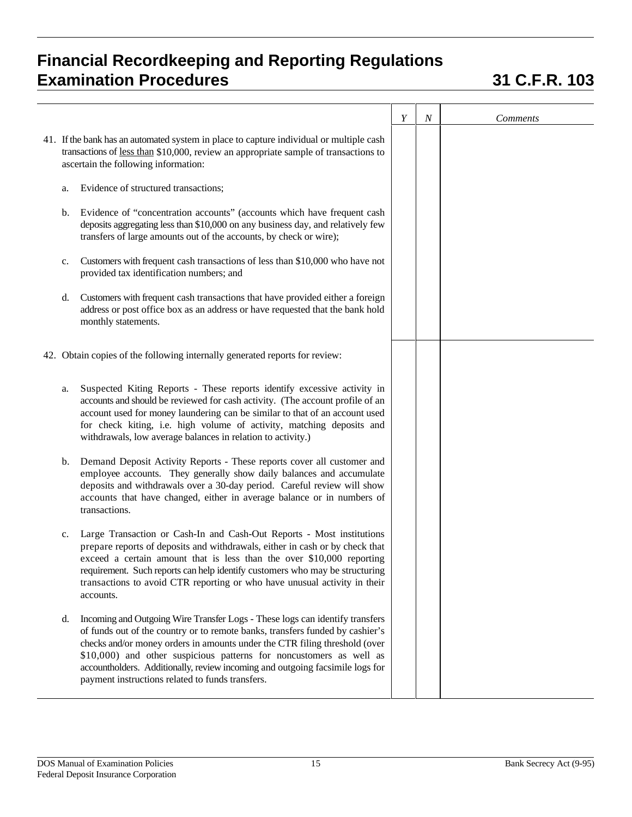|               |                                                                                                                                                                                                                                                                                                                                                                                                                                                         | $\boldsymbol{Y}$ | $\boldsymbol{N}$ | <b>Comments</b> |
|---------------|---------------------------------------------------------------------------------------------------------------------------------------------------------------------------------------------------------------------------------------------------------------------------------------------------------------------------------------------------------------------------------------------------------------------------------------------------------|------------------|------------------|-----------------|
|               | 41. If the bank has an automated system in place to capture individual or multiple cash<br>transactions of less than \$10,000, review an appropriate sample of transactions to<br>ascertain the following information:                                                                                                                                                                                                                                  |                  |                  |                 |
| a.            | Evidence of structured transactions;                                                                                                                                                                                                                                                                                                                                                                                                                    |                  |                  |                 |
| $\mathbf b$ . | Evidence of "concentration accounts" (accounts which have frequent cash<br>deposits aggregating less than \$10,000 on any business day, and relatively few<br>transfers of large amounts out of the accounts, by check or wire);                                                                                                                                                                                                                        |                  |                  |                 |
| c.            | Customers with frequent cash transactions of less than \$10,000 who have not<br>provided tax identification numbers; and                                                                                                                                                                                                                                                                                                                                |                  |                  |                 |
| d.            | Customers with frequent cash transactions that have provided either a foreign<br>address or post office box as an address or have requested that the bank hold<br>monthly statements.                                                                                                                                                                                                                                                                   |                  |                  |                 |
|               | 42. Obtain copies of the following internally generated reports for review:                                                                                                                                                                                                                                                                                                                                                                             |                  |                  |                 |
| a.            | Suspected Kiting Reports - These reports identify excessive activity in<br>accounts and should be reviewed for cash activity. (The account profile of an<br>account used for money laundering can be similar to that of an account used<br>for check kiting, i.e. high volume of activity, matching deposits and<br>withdrawals, low average balances in relation to activity.)                                                                         |                  |                  |                 |
| b.            | Demand Deposit Activity Reports - These reports cover all customer and<br>employee accounts. They generally show daily balances and accumulate<br>deposits and withdrawals over a 30-day period. Careful review will show<br>accounts that have changed, either in average balance or in numbers of<br>transactions.                                                                                                                                    |                  |                  |                 |
| c.            | Large Transaction or Cash-In and Cash-Out Reports - Most institutions<br>prepare reports of deposits and withdrawals, either in cash or by check that<br>exceed a certain amount that is less than the over \$10,000 reporting<br>requirement. Such reports can help identify customers who may be structuring<br>transactions to avoid CTR reporting or who have unusual activity in their<br>accounts.                                                |                  |                  |                 |
| d.            | Incoming and Outgoing Wire Transfer Logs - These logs can identify transfers<br>of funds out of the country or to remote banks, transfers funded by cashier's<br>checks and/or money orders in amounts under the CTR filing threshold (over<br>\$10,000) and other suspicious patterns for noncustomers as well as<br>accountholders. Additionally, review incoming and outgoing facsimile logs for<br>payment instructions related to funds transfers. |                  |                  |                 |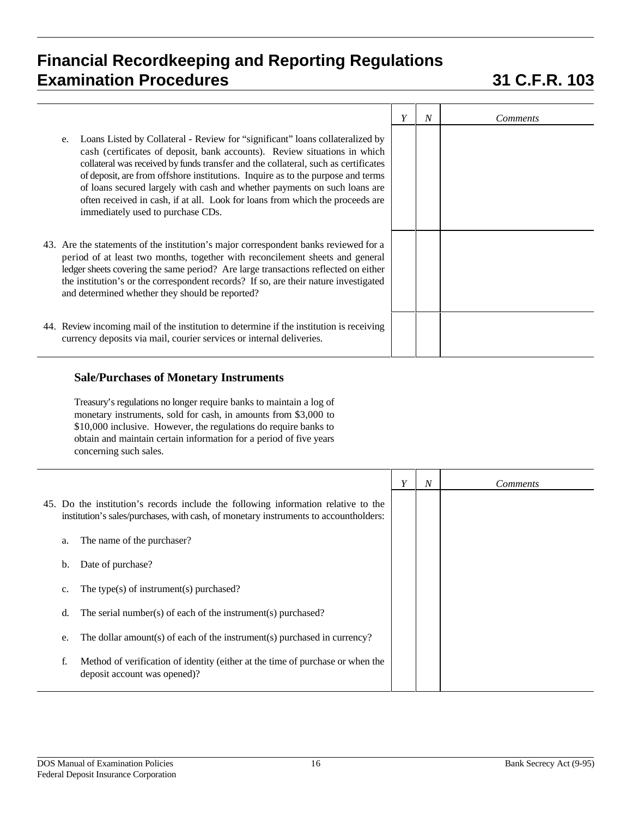|                                                                                                                                                                                                                                                                                                                                                                                                                                                                                                                                              | Y | $\boldsymbol{N}$ | <i>Comments</i> |
|----------------------------------------------------------------------------------------------------------------------------------------------------------------------------------------------------------------------------------------------------------------------------------------------------------------------------------------------------------------------------------------------------------------------------------------------------------------------------------------------------------------------------------------------|---|------------------|-----------------|
| Loans Listed by Collateral - Review for "significant" loans collateralized by<br>e.<br>cash (certificates of deposit, bank accounts). Review situations in which<br>collateral was received by funds transfer and the collateral, such as certificates<br>of deposit, are from offshore institutions. Inquire as to the purpose and terms<br>of loans secured largely with cash and whether payments on such loans are<br>often received in cash, if at all. Look for loans from which the proceeds are<br>immediately used to purchase CDs. |   |                  |                 |
| 43. Are the statements of the institution's major correspondent banks reviewed for a<br>period of at least two months, together with reconcilement sheets and general<br>ledger sheets covering the same period? Are large transactions reflected on either<br>the institution's or the correspondent records? If so, are their nature investigated<br>and determined whether they should be reported?                                                                                                                                       |   |                  |                 |
| 44. Review incoming mail of the institution to determine if the institution is receiving<br>currency deposits via mail, courier services or internal deliveries.                                                                                                                                                                                                                                                                                                                                                                             |   |                  |                 |

### **Sale/Purchases of Monetary Instruments**

Treasury's regulations no longer require banks to maintain a log of monetary instruments, sold for cash, in amounts from \$3,000 to \$10,000 inclusive. However, the regulations do require banks to obtain and maintain certain information for a period of five years concerning such sales.

|                                                                                                                                                                            | Y | $\boldsymbol{N}$ | <i>Comments</i> |
|----------------------------------------------------------------------------------------------------------------------------------------------------------------------------|---|------------------|-----------------|
| 45. Do the institution's records include the following information relative to the<br>institution's sales/purchases, with cash, of monetary instruments to accountholders: |   |                  |                 |
| The name of the purchaser?<br>a.                                                                                                                                           |   |                  |                 |
| Date of purchase?<br>b.                                                                                                                                                    |   |                  |                 |
| The type(s) of instrument(s) purchased?<br>c.                                                                                                                              |   |                  |                 |
| The serial number(s) of each of the instrument(s) purchased?<br>d.                                                                                                         |   |                  |                 |
| The dollar amount(s) of each of the instrument(s) purchased in currency?<br>e.                                                                                             |   |                  |                 |
| Method of verification of identity (either at the time of purchase or when the<br>f.<br>deposit account was opened)?                                                       |   |                  |                 |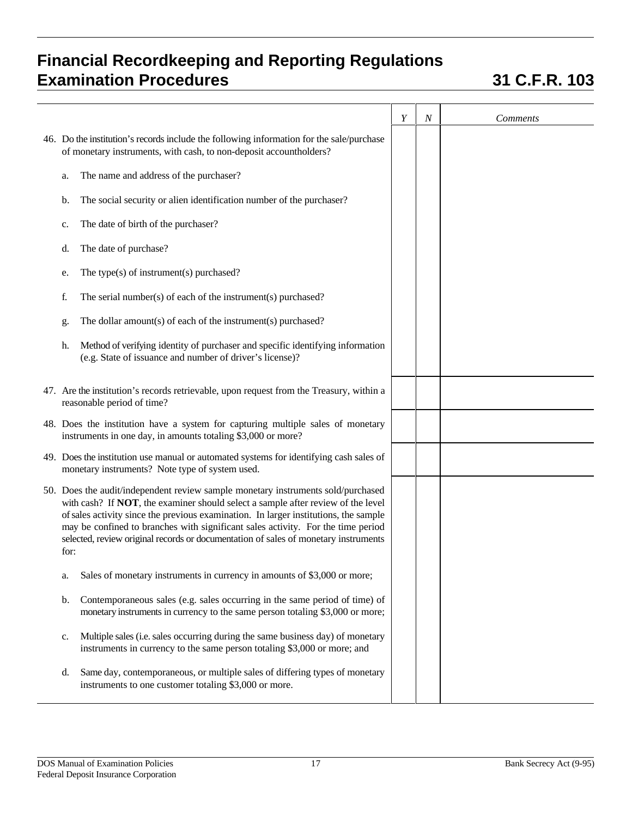|                                                                                                                                                                                                                                                                                                                                                                                                                                                 | Y | $\boldsymbol{N}$ | <b>Comments</b> |
|-------------------------------------------------------------------------------------------------------------------------------------------------------------------------------------------------------------------------------------------------------------------------------------------------------------------------------------------------------------------------------------------------------------------------------------------------|---|------------------|-----------------|
| 46. Do the institution's records include the following information for the sale/purchase<br>of monetary instruments, with cash, to non-deposit accountholders?                                                                                                                                                                                                                                                                                  |   |                  |                 |
| The name and address of the purchaser?<br>a.                                                                                                                                                                                                                                                                                                                                                                                                    |   |                  |                 |
| The social security or alien identification number of the purchaser?<br>b.                                                                                                                                                                                                                                                                                                                                                                      |   |                  |                 |
| The date of birth of the purchaser?<br>c.                                                                                                                                                                                                                                                                                                                                                                                                       |   |                  |                 |
| The date of purchase?<br>d.                                                                                                                                                                                                                                                                                                                                                                                                                     |   |                  |                 |
| The type(s) of instrument(s) purchased?<br>e.                                                                                                                                                                                                                                                                                                                                                                                                   |   |                  |                 |
| The serial number(s) of each of the instrument(s) purchased?<br>f.                                                                                                                                                                                                                                                                                                                                                                              |   |                  |                 |
| The dollar amount(s) of each of the instrument(s) purchased?<br>g.                                                                                                                                                                                                                                                                                                                                                                              |   |                  |                 |
| Method of verifying identity of purchaser and specific identifying information<br>h.<br>(e.g. State of issuance and number of driver's license)?                                                                                                                                                                                                                                                                                                |   |                  |                 |
| 47. Are the institution's records retrievable, upon request from the Treasury, within a<br>reasonable period of time?                                                                                                                                                                                                                                                                                                                           |   |                  |                 |
| 48. Does the institution have a system for capturing multiple sales of monetary<br>instruments in one day, in amounts totaling \$3,000 or more?                                                                                                                                                                                                                                                                                                 |   |                  |                 |
| 49. Does the institution use manual or automated systems for identifying cash sales of<br>monetary instruments? Note type of system used.                                                                                                                                                                                                                                                                                                       |   |                  |                 |
| 50. Does the audit/independent review sample monetary instruments sold/purchased<br>with cash? If NOT, the examiner should select a sample after review of the level<br>of sales activity since the previous examination. In larger institutions, the sample<br>may be confined to branches with significant sales activity. For the time period<br>selected, review original records or documentation of sales of monetary instruments<br>for: |   |                  |                 |
| Sales of monetary instruments in currency in amounts of \$3,000 or more;<br>a.                                                                                                                                                                                                                                                                                                                                                                  |   |                  |                 |
| Contemporaneous sales (e.g. sales occurring in the same period of time) of<br>b.<br>monetary instruments in currency to the same person totaling \$3,000 or more;                                                                                                                                                                                                                                                                               |   |                  |                 |
| Multiple sales (i.e. sales occurring during the same business day) of monetary<br>c.<br>instruments in currency to the same person totaling \$3,000 or more; and                                                                                                                                                                                                                                                                                |   |                  |                 |
| Same day, contemporaneous, or multiple sales of differing types of monetary<br>d.<br>instruments to one customer totaling \$3,000 or more.                                                                                                                                                                                                                                                                                                      |   |                  |                 |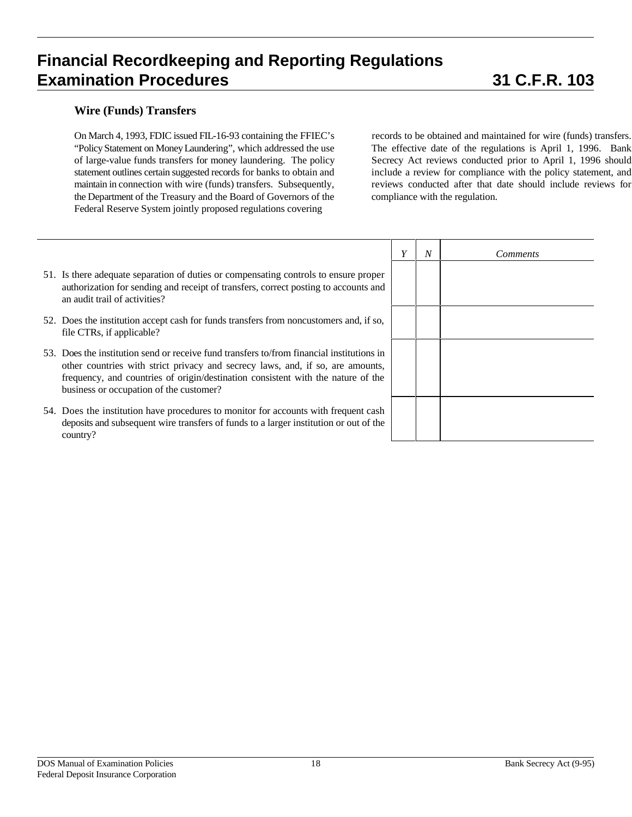### **Wire (Funds) Transfers**

On March 4, 1993, FDIC issued FIL-16-93 containing the FFIEC's "Policy Statement on Money Laundering", which addressed the use of large-value funds transfers for money laundering. The policy statement outlines certain suggested records for banks to obtain and maintain in connection with wire (funds) transfers. Subsequently, the Department of the Treasury and the Board of Governors of the Federal Reserve System jointly proposed regulations covering

records to be obtained and maintained for wire (funds) transfers. The effective date of the regulations is April 1, 1996. Bank Secrecy Act reviews conducted prior to April 1, 1996 should include a review for compliance with the policy statement, and reviews conducted after that date should include reviews for compliance with the regulation.

- 51. Is there adequate separation of duties or compensating controls to ensure proper authorization for sending and receipt of transfers, correct posting to accounts and an audit trail of activities?
- 52. Does the institution accept cash for funds transfers from noncustomers and, if so, file CTRs, if applicable?
- 53. Does the institution send or receive fund transfers to/from financial institutions in other countries with strict privacy and secrecy laws, and, if so, are amounts, frequency, and countries of origin/destination consistent with the nature of the business or occupation of the customer?
- 54. Does the institution have procedures to monitor for accounts with frequent cash deposits and subsequent wire transfers of funds to a larger institution or out of the country?

|               | $\boldsymbol{Y}$ | $\cal N$ | Comments |
|---------------|------------------|----------|----------|
| $\frac{1}{1}$ |                  |          |          |
|               |                  |          |          |
|               |                  |          |          |
|               |                  |          |          |
| l             |                  |          |          |
| ,             |                  |          |          |
| ,             |                  |          |          |
| l             |                  |          |          |
| č             |                  |          |          |
|               |                  |          |          |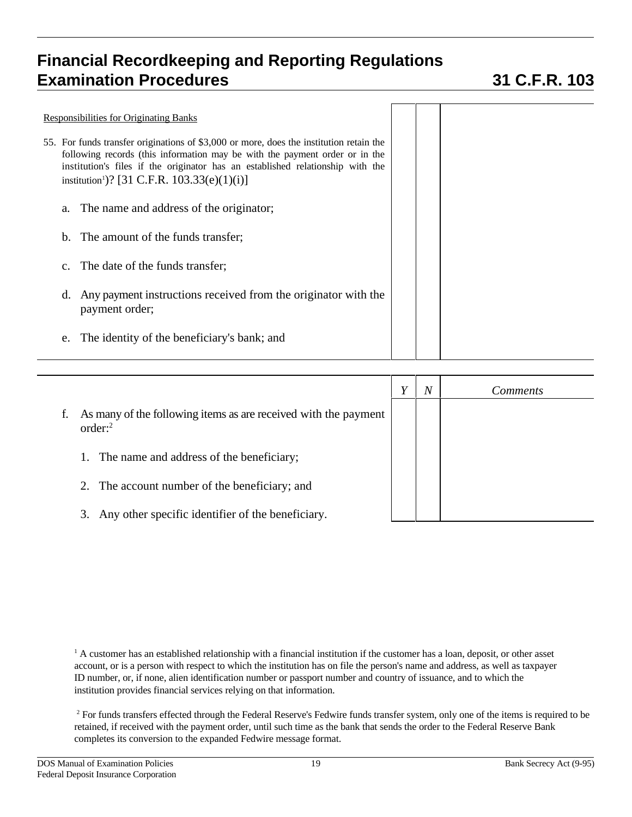| <b>Responsibilities for Originating Banks</b>                                                                                                                                                                                                                                                                       |  |  |
|---------------------------------------------------------------------------------------------------------------------------------------------------------------------------------------------------------------------------------------------------------------------------------------------------------------------|--|--|
| 55. For funds transfer originations of \$3,000 or more, does the institution retain the<br>following records (this information may be with the payment order or in the<br>institution's files if the originator has an established relationship with the<br>institution <sup>1</sup> )? [31 C.F.R. 103.33(e)(1)(i)] |  |  |
| The name and address of the originator;<br>a.                                                                                                                                                                                                                                                                       |  |  |
| The amount of the funds transfer;<br>$b_{1}$                                                                                                                                                                                                                                                                        |  |  |
| The date of the funds transfer;                                                                                                                                                                                                                                                                                     |  |  |
| Any payment instructions received from the originator with the<br>d.<br>payment order;                                                                                                                                                                                                                              |  |  |
| The identity of the beneficiary's bank; and<br>e.                                                                                                                                                                                                                                                                   |  |  |

|                                                                                        | Y | $\boldsymbol{N}$ | <i>Comments</i> |
|----------------------------------------------------------------------------------------|---|------------------|-----------------|
| As many of the following items as are received with the payment<br>order: <sup>2</sup> |   |                  |                 |
| The name and address of the beneficiary;                                               |   |                  |                 |
| 2. The account number of the beneficiary; and                                          |   |                  |                 |
| Any other specific identifier of the beneficiary.<br>3.                                |   |                  |                 |

<sup>1</sup> A customer has an established relationship with a financial institution if the customer has a loan, deposit, or other asset account, or is a person with respect to which the institution has on file the person's name and address, as well as taxpayer ID number, or, if none, alien identification number or passport number and country of issuance, and to which the institution provides financial services relying on that information.

<sup>2</sup> For funds transfers effected through the Federal Reserve's Fedwire funds transfer system, only one of the items is required to be retained, if received with the payment order, until such time as the bank that sends the order to the Federal Reserve Bank completes its conversion to the expanded Fedwire message format.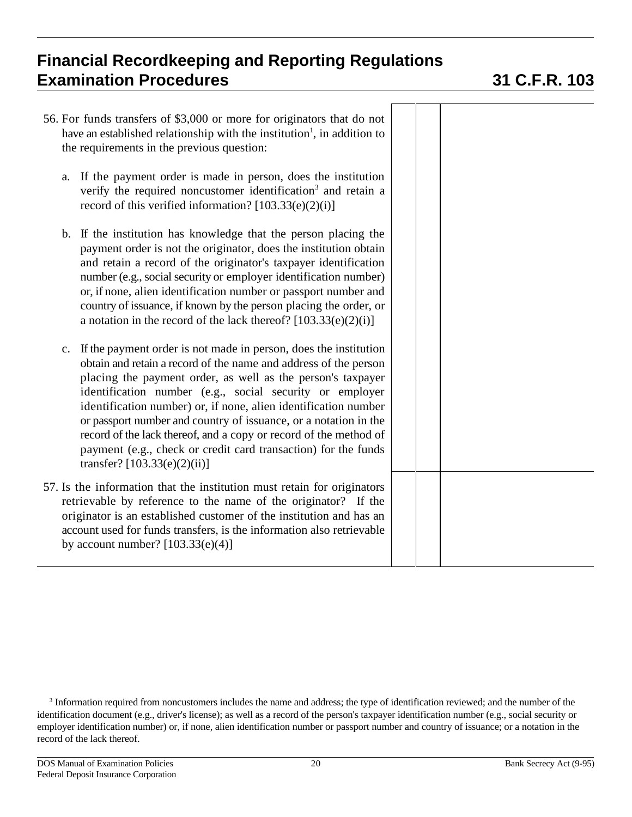|    | 56. For funds transfers of \$3,000 or more for originators that do not<br>have an established relationship with the institution <sup>1</sup> , in addition to<br>the requirements in the previous question:                                                                                                                                                                                                                                                                                                                                                                     |  |  |
|----|---------------------------------------------------------------------------------------------------------------------------------------------------------------------------------------------------------------------------------------------------------------------------------------------------------------------------------------------------------------------------------------------------------------------------------------------------------------------------------------------------------------------------------------------------------------------------------|--|--|
| a. | If the payment order is made in person, does the institution<br>verify the required noncustomer identification <sup>3</sup> and retain a<br>record of this verified information? $[103.33(e)(2)(i)]$                                                                                                                                                                                                                                                                                                                                                                            |  |  |
| b. | If the institution has knowledge that the person placing the<br>payment order is not the originator, does the institution obtain<br>and retain a record of the originator's taxpayer identification<br>number (e.g., social security or employer identification number)<br>or, if none, alien identification number or passport number and<br>country of issuance, if known by the person placing the order, or<br>a notation in the record of the lack thereof? $[103.33(e)(2)(i)]$                                                                                            |  |  |
| c. | If the payment order is not made in person, does the institution<br>obtain and retain a record of the name and address of the person<br>placing the payment order, as well as the person's taxpayer<br>identification number (e.g., social security or employer<br>identification number) or, if none, alien identification number<br>or passport number and country of issuance, or a notation in the<br>record of the lack thereof, and a copy or record of the method of<br>payment (e.g., check or credit card transaction) for the funds<br>transfer? $[103.33(e)(2)(ii)]$ |  |  |
|    | 57. Is the information that the institution must retain for originators<br>retrievable by reference to the name of the originator? If the<br>originator is an established customer of the institution and has an<br>account used for funds transfers, is the information also retrievable<br>by account number? $[103.33(e)(4)]$                                                                                                                                                                                                                                                |  |  |

<sup>&</sup>lt;sup>3</sup> Information required from noncustomers includes the name and address; the type of identification reviewed; and the number of the identification document (e.g., driver's license); as well as a record of the person's taxpayer identification number (e.g., social security or employer identification number) or, if none, alien identification number or passport number and country of issuance; or a notation in the record of the lack thereof.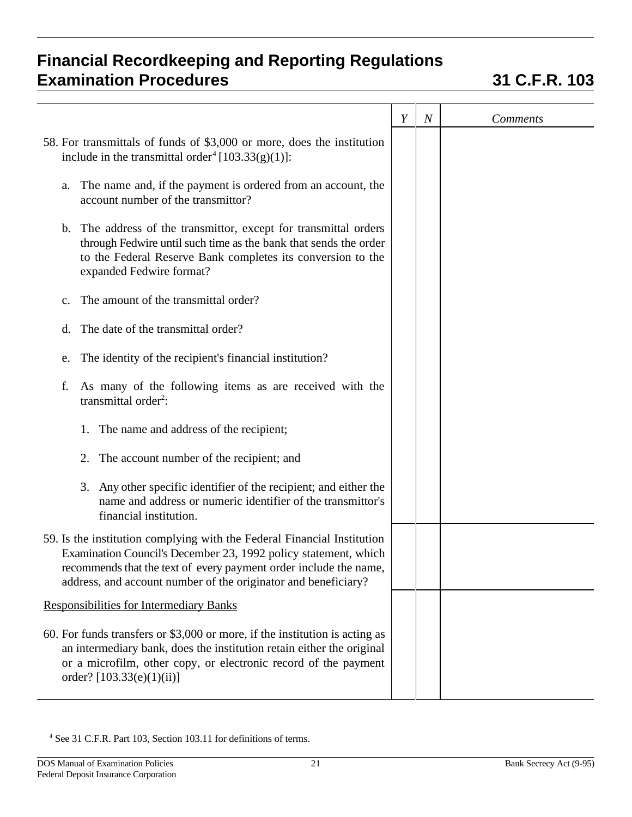|                                                                                                                                                                                                                                                                                   | Y | $\boldsymbol{N}$ | <b>Comments</b> |
|-----------------------------------------------------------------------------------------------------------------------------------------------------------------------------------------------------------------------------------------------------------------------------------|---|------------------|-----------------|
| 58. For transmittals of funds of \$3,000 or more, does the institution<br>include in the transmittal order <sup>4</sup> [103.33(g)(1)]:                                                                                                                                           |   |                  |                 |
| The name and, if the payment is ordered from an account, the<br>a.<br>account number of the transmittor?                                                                                                                                                                          |   |                  |                 |
| b. The address of the transmittor, except for transmittal orders<br>through Fedwire until such time as the bank that sends the order<br>to the Federal Reserve Bank completes its conversion to the<br>expanded Fedwire format?                                                   |   |                  |                 |
| The amount of the transmittal order?<br>$\mathbf{c}$ .                                                                                                                                                                                                                            |   |                  |                 |
| The date of the transmittal order?<br>d.                                                                                                                                                                                                                                          |   |                  |                 |
| The identity of the recipient's financial institution?<br>e.                                                                                                                                                                                                                      |   |                  |                 |
| As many of the following items as are received with the<br>f.<br>transmittal order <sup>2</sup> :                                                                                                                                                                                 |   |                  |                 |
| 1. The name and address of the recipient;                                                                                                                                                                                                                                         |   |                  |                 |
| 2. The account number of the recipient; and                                                                                                                                                                                                                                       |   |                  |                 |
| 3. Any other specific identifier of the recipient; and either the<br>name and address or numeric identifier of the transmittor's<br>financial institution.                                                                                                                        |   |                  |                 |
| 59. Is the institution complying with the Federal Financial Institution<br>Examination Council's December 23, 1992 policy statement, which<br>recommends that the text of every payment order include the name,<br>address, and account number of the originator and beneficiary? |   |                  |                 |
| <b>Responsibilities for Intermediary Banks</b>                                                                                                                                                                                                                                    |   |                  |                 |
| 60. For funds transfers or \$3,000 or more, if the institution is acting as<br>an intermediary bank, does the institution retain either the original<br>or a microfilm, other copy, or electronic record of the payment<br>order? $[103.33(e)(1)(ii)]$                            |   |                  |                 |

<sup>4</sup> See 31 C.F.R. Part 103, Section 103.11 for definitions of terms.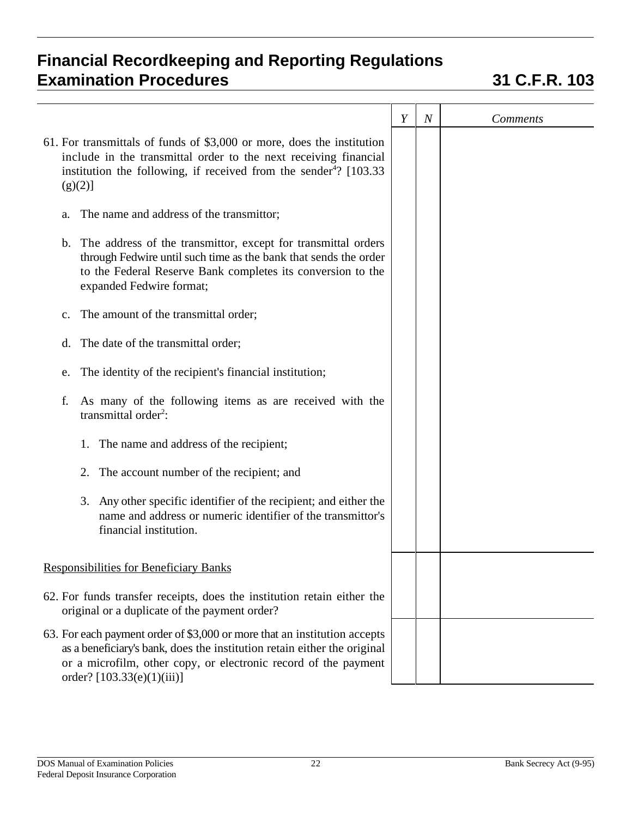|                                                                                                                                                                                                                                                        | Y | $\boldsymbol{N}$ | <b>Comments</b> |
|--------------------------------------------------------------------------------------------------------------------------------------------------------------------------------------------------------------------------------------------------------|---|------------------|-----------------|
| 61. For transmittals of funds of \$3,000 or more, does the institution<br>include in the transmittal order to the next receiving financial<br>institution the following, if received from the sender <sup>4</sup> ? $[103.33]$<br>$(g)(2)$ ]           |   |                  |                 |
| The name and address of the transmittor;<br>a.                                                                                                                                                                                                         |   |                  |                 |
| b. The address of the transmittor, except for transmittal orders<br>through Fedwire until such time as the bank that sends the order<br>to the Federal Reserve Bank completes its conversion to the<br>expanded Fedwire format;                        |   |                  |                 |
| The amount of the transmittal order;<br>c.                                                                                                                                                                                                             |   |                  |                 |
| The date of the transmittal order;<br>d.                                                                                                                                                                                                               |   |                  |                 |
| The identity of the recipient's financial institution;<br>e.                                                                                                                                                                                           |   |                  |                 |
| As many of the following items as are received with the<br>f.<br>transmittal order <sup>2</sup> :                                                                                                                                                      |   |                  |                 |
| The name and address of the recipient;<br>1.                                                                                                                                                                                                           |   |                  |                 |
| The account number of the recipient; and<br>2.                                                                                                                                                                                                         |   |                  |                 |
| 3. Any other specific identifier of the recipient; and either the<br>name and address or numeric identifier of the transmittor's<br>financial institution.                                                                                             |   |                  |                 |
| <b>Responsibilities for Beneficiary Banks</b>                                                                                                                                                                                                          |   |                  |                 |
| 62. For funds transfer receipts, does the institution retain either the<br>original or a duplicate of the payment order?                                                                                                                               |   |                  |                 |
| 63. For each payment order of \$3,000 or more that an institution accepts<br>as a beneficiary's bank, does the institution retain either the original<br>or a microfilm, other copy, or electronic record of the payment<br>order? [103.33(e)(1)(iii)] |   |                  |                 |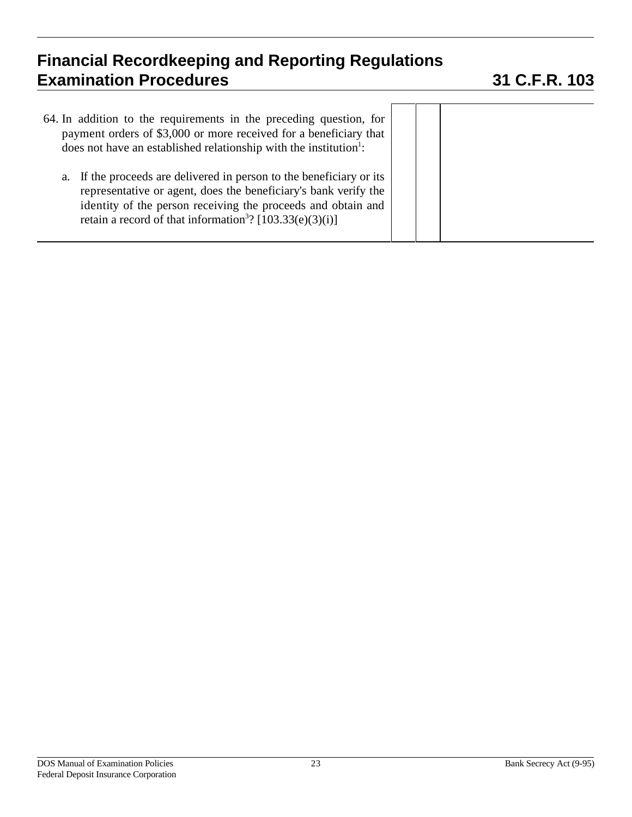| 64. In addition to the requirements in the preceding question, for<br>payment orders of \$3,000 or more received for a beneficiary that<br>does not have an established relationship with the institution <sup>1</sup> :                                                        |  |
|---------------------------------------------------------------------------------------------------------------------------------------------------------------------------------------------------------------------------------------------------------------------------------|--|
| a. If the proceeds are delivered in person to the beneficiary or its<br>representative or agent, does the beneficiary's bank verify the<br>identity of the person receiving the proceeds and obtain and<br>retain a record of that information <sup>3</sup> ? [103.33(e)(3)(i)] |  |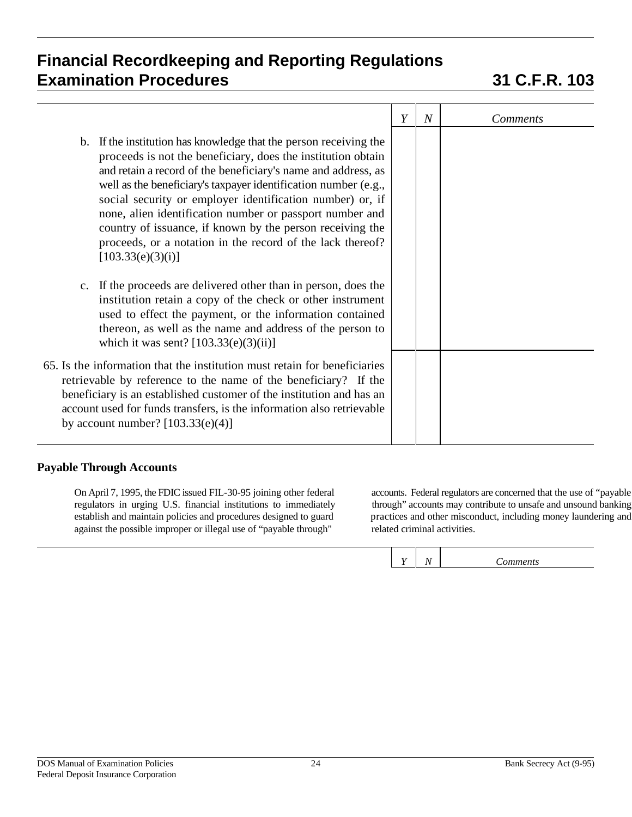|                                                                                                                                                                                                                                                                                                                                                                                                                                                                                                                                                | Y | $\overline{N}$ | <i>Comments</i> |
|------------------------------------------------------------------------------------------------------------------------------------------------------------------------------------------------------------------------------------------------------------------------------------------------------------------------------------------------------------------------------------------------------------------------------------------------------------------------------------------------------------------------------------------------|---|----------------|-----------------|
| b. If the institution has knowledge that the person receiving the<br>proceeds is not the beneficiary, does the institution obtain<br>and retain a record of the beneficiary's name and address, as<br>well as the beneficiary's taxpayer identification number (e.g.,<br>social security or employer identification number) or, if<br>none, alien identification number or passport number and<br>country of issuance, if known by the person receiving the<br>proceeds, or a notation in the record of the lack thereof?<br>[103.33(e)(3)(i)] |   |                |                 |
| c. If the proceeds are delivered other than in person, does the<br>institution retain a copy of the check or other instrument<br>used to effect the payment, or the information contained<br>thereon, as well as the name and address of the person to<br>which it was sent? $[103.33(e)(3)(ii)]$                                                                                                                                                                                                                                              |   |                |                 |
| 65. Is the information that the institution must retain for beneficiaries<br>retrievable by reference to the name of the beneficiary? If the<br>beneficiary is an established customer of the institution and has an<br>account used for funds transfers, is the information also retrievable<br>by account number? $[103.33(e)(4)]$                                                                                                                                                                                                           |   |                |                 |

### **Payable Through Accounts**

On April 7, 1995, the FDIC issued FIL-30-95 joining other federal accounts. Federal regulators are concerned that the use of "payable regulators in urging U.S. financial institutions to immediately through" accounts may contribute to unsafe and unsound banking establish and maintain policies and procedures designed to guard practices and other misconduct against the possible improper or illegal use of "payable through"

practices and other misconduct, including money laundering and related criminal activities.

*Y N Comments*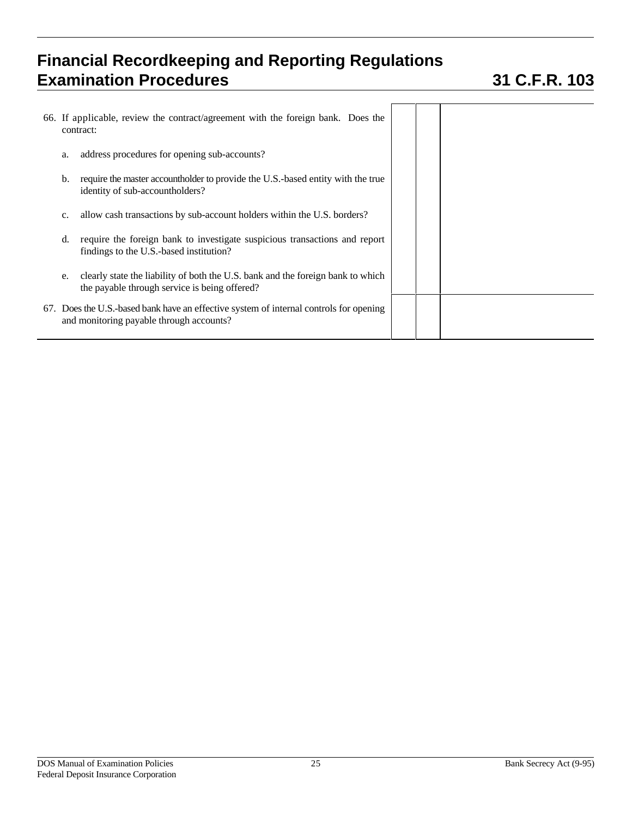|    | 66. If applicable, review the contract/agreement with the foreign bank. Does the<br>contract:                                      |  |  |
|----|------------------------------------------------------------------------------------------------------------------------------------|--|--|
| a. | address procedures for opening sub-accounts?                                                                                       |  |  |
| b. | require the master account holder to provide the U.S.-based entity with the true<br>identity of sub-accountholders?                |  |  |
| c. | allow cash transactions by sub-account holders within the U.S. borders?                                                            |  |  |
| d. | require the foreign bank to investigate suspicious transactions and report<br>findings to the U.S.-based institution?              |  |  |
| e. | clearly state the liability of both the U.S. bank and the foreign bank to which<br>the payable through service is being offered?   |  |  |
|    | 67. Does the U.S.-based bank have an effective system of internal controls for opening<br>and monitoring payable through accounts? |  |  |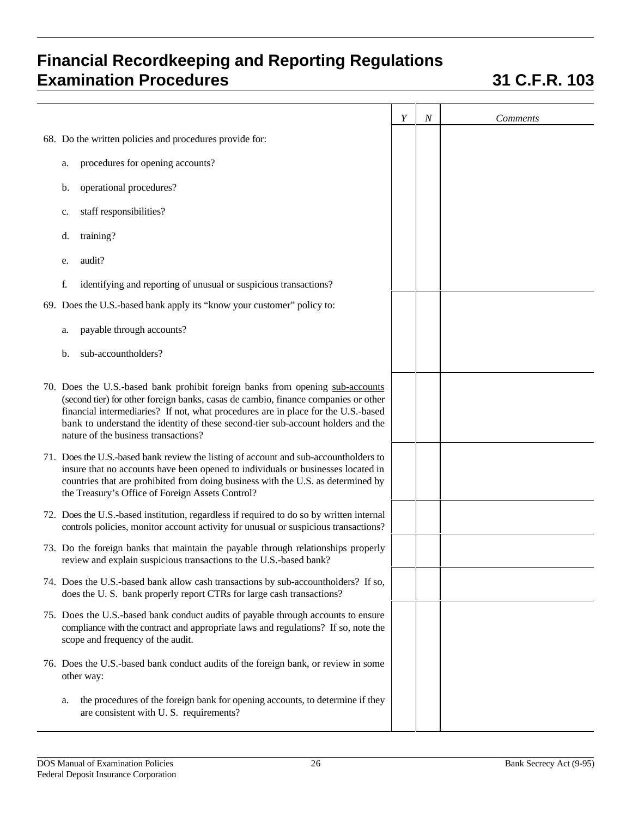|                                                                                                                                                                                                                                                                                                                                                                                      | Y | $\boldsymbol{N}$ | <b>Comments</b> |
|--------------------------------------------------------------------------------------------------------------------------------------------------------------------------------------------------------------------------------------------------------------------------------------------------------------------------------------------------------------------------------------|---|------------------|-----------------|
| 68. Do the written policies and procedures provide for:                                                                                                                                                                                                                                                                                                                              |   |                  |                 |
| procedures for opening accounts?<br>a.                                                                                                                                                                                                                                                                                                                                               |   |                  |                 |
| operational procedures?<br>b.                                                                                                                                                                                                                                                                                                                                                        |   |                  |                 |
| staff responsibilities?<br>c.                                                                                                                                                                                                                                                                                                                                                        |   |                  |                 |
| training?<br>d.                                                                                                                                                                                                                                                                                                                                                                      |   |                  |                 |
| audit?<br>e.                                                                                                                                                                                                                                                                                                                                                                         |   |                  |                 |
| f.<br>identifying and reporting of unusual or suspicious transactions?                                                                                                                                                                                                                                                                                                               |   |                  |                 |
| 69. Does the U.S.-based bank apply its "know your customer" policy to:                                                                                                                                                                                                                                                                                                               |   |                  |                 |
| payable through accounts?<br>a.                                                                                                                                                                                                                                                                                                                                                      |   |                  |                 |
| sub-accountholders?<br>b.                                                                                                                                                                                                                                                                                                                                                            |   |                  |                 |
| 70. Does the U.S.-based bank prohibit foreign banks from opening sub-accounts<br>(second tier) for other foreign banks, casas de cambio, finance companies or other<br>financial intermediaries? If not, what procedures are in place for the U.S.-based<br>bank to understand the identity of these second-tier sub-account holders and the<br>nature of the business transactions? |   |                  |                 |
| 71. Does the U.S.-based bank review the listing of account and sub-accountholders to<br>insure that no accounts have been opened to individuals or businesses located in<br>countries that are prohibited from doing business with the U.S. as determined by<br>the Treasury's Office of Foreign Assets Control?                                                                     |   |                  |                 |
| 72. Does the U.S.-based institution, regardless if required to do so by written internal<br>controls policies, monitor account activity for unusual or suspicious transactions?                                                                                                                                                                                                      |   |                  |                 |
| 73. Do the foreign banks that maintain the payable through relationships properly<br>review and explain suspicious transactions to the U.S.-based bank?                                                                                                                                                                                                                              |   |                  |                 |
| 74. Does the U.S.-based bank allow cash transactions by sub-accountholders? If so,<br>does the U.S. bank properly report CTRs for large cash transactions?                                                                                                                                                                                                                           |   |                  |                 |
| 75. Does the U.S.-based bank conduct audits of payable through accounts to ensure<br>compliance with the contract and appropriate laws and regulations? If so, note the<br>scope and frequency of the audit.                                                                                                                                                                         |   |                  |                 |
| 76. Does the U.S.-based bank conduct audits of the foreign bank, or review in some<br>other way:                                                                                                                                                                                                                                                                                     |   |                  |                 |
| the procedures of the foreign bank for opening accounts, to determine if they<br>a.<br>are consistent with U.S. requirements?                                                                                                                                                                                                                                                        |   |                  |                 |